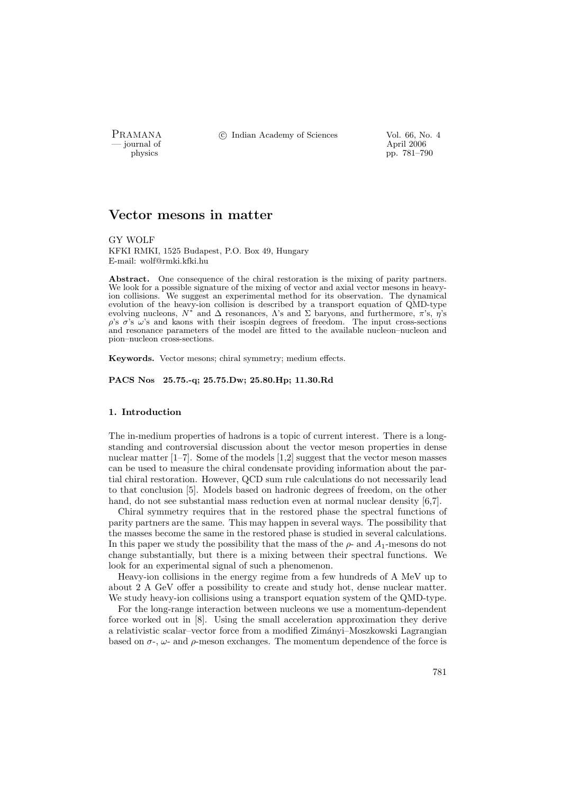— journal of April 2006

PRAMANA <sup>C</sup> Indian Academy of Sciences Vol. 66, No. 4<br>
iournal of April 2006

physics pp. 781–790

# Vector mesons in matter

GY WOLF KFKI RMKI, 1525 Budapest, P.O. Box 49, Hungary E-mail: wolf@rmki.kfki.hu

Abstract. One consequence of the chiral restoration is the mixing of parity partners. We look for a possible signature of the mixing of vector and axial vector mesons in heavyion collisions. We suggest an experimental method for its observation. The dynamical evolution of the heavy-ion collision is described by a transport equation of QMD-type evolving nucleons,  $N^*$  and  $\Delta$  resonances,  $\Lambda$ 's and  $\Sigma$  baryons, and furthermore,  $\pi$ 's,  $\eta$ 's  $ρ's σ's ω's$  and kaons with their isospin degrees of freedom. The input cross-sections and resonance parameters of the model are fitted to the available nucleon–nucleon and pion–nucleon cross-sections.

Keywords. Vector mesons; chiral symmetry; medium effects.

PACS Nos 25.75.-q; 25.75.Dw; 25.80.Hp; 11.30.Rd

### 1. Introduction

The in-medium properties of hadrons is a topic of current interest. There is a longstanding and controversial discussion about the vector meson properties in dense nuclear matter [1–7]. Some of the models [1,2] suggest that the vector meson masses can be used to measure the chiral condensate providing information about the partial chiral restoration. However, QCD sum rule calculations do not necessarily lead to that conclusion [5]. Models based on hadronic degrees of freedom, on the other hand, do not see substantial mass reduction even at normal nuclear density [6,7].

Chiral symmetry requires that in the restored phase the spectral functions of parity partners are the same. This may happen in several ways. The possibility that the masses become the same in the restored phase is studied in several calculations. In this paper we study the possibility that the mass of the  $\rho$ - and  $A_1$ -mesons do not change substantially, but there is a mixing between their spectral functions. We look for an experimental signal of such a phenomenon.

Heavy-ion collisions in the energy regime from a few hundreds of A MeV up to about 2 A GeV offer a possibility to create and study hot, dense nuclear matter. We study heavy-ion collisions using a transport equation system of the QMD-type.

For the long-range interaction between nucleons we use a momentum-dependent force worked out in [8]. Using the small acceleration approximation they derive a relativistic scalar–vector force from a modified Zim´anyi–Moszkowski Lagrangian based on  $\sigma$ -,  $\omega$ - and  $\rho$ -meson exchanges. The momentum dependence of the force is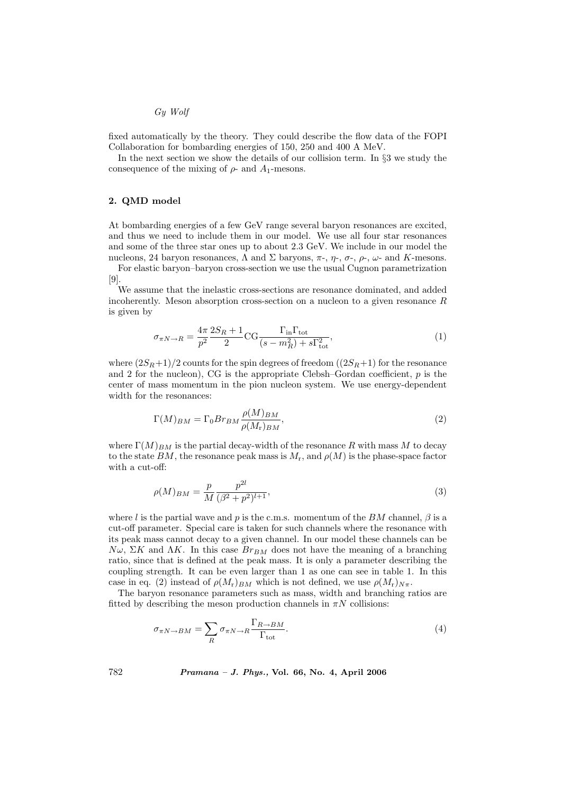### Gy Wolf

fixed automatically by the theory. They could describe the flow data of the FOPI Collaboration for bombarding energies of 150, 250 and 400 A MeV.

In the next section we show the details of our collision term. In §3 we study the consequence of the mixing of  $\rho$ - and  $A_1$ -mesons.

## 2. QMD model

At bombarding energies of a few GeV range several baryon resonances are excited, and thus we need to include them in our model. We use all four star resonances and some of the three star ones up to about 2.3 GeV. We include in our model the nucleons, 24 baryon resonances, Λ and Σ baryons, π-, η-, σ-,  $ρ$ -, ω- and K-mesons.

For elastic baryon–baryon cross-section we use the usual Cugnon parametrization [9].

We assume that the inelastic cross-sections are resonance dominated, and added incoherently. Meson absorption cross-section on a nucleon to a given resonance  $R$ is given by

$$
\sigma_{\pi N \to R} = \frac{4\pi}{p^2} \frac{2S_R + 1}{2} \text{CG} \frac{\Gamma_{\text{in}} \Gamma_{\text{tot}}}{(s - m_R^2) + s\Gamma_{\text{tot}}^2},\tag{1}
$$

where  $(2S_R+1)/2$  counts for the spin degrees of freedom  $((2S_R+1)$  for the resonance and 2 for the nucleon), CG is the appropriate Clebsh–Gordan coefficient,  $p$  is the center of mass momentum in the pion nucleon system. We use energy-dependent width for the resonances:

$$
\Gamma(M)_{BM} = \Gamma_0 Br_{BM} \frac{\rho(M)_{BM}}{\rho(M_r)_{BM}},\tag{2}
$$

where  $\Gamma(M)_{BM}$  is the partial decay-width of the resonance R with mass M to decay to the state BM, the resonance peak mass is  $M_r$ , and  $\rho(M)$  is the phase-space factor with a cut-off:

$$
\rho(M)_{BM} = \frac{p}{M} \frac{p^{2l}}{(\beta^2 + p^2)^{l+1}},\tag{3}
$$

where l is the partial wave and p is the c.m.s. momentum of the BM channel,  $\beta$  is a cut-off parameter. Special care is taken for such channels where the resonance with its peak mass cannot decay to a given channel. In our model these channels can be  $N\omega$ , ΣK and  $\Lambda K$ . In this case  $Br_{BM}$  does not have the meaning of a branching ratio, since that is defined at the peak mass. It is only a parameter describing the coupling strength. It can be even larger than 1 as one can see in table 1. In this case in eq. (2) instead of  $\rho(M_r)_{BM}$  which is not defined, we use  $\rho(M_r)_{N\pi}$ .

The baryon resonance parameters such as mass, width and branching ratios are fitted by describing the meson production channels in  $\pi N$  collisions:

$$
\sigma_{\pi N \to BM} = \sum_{R} \sigma_{\pi N \to R} \frac{\Gamma_{R \to BM}}{\Gamma_{\text{tot}}}.
$$
\n(4)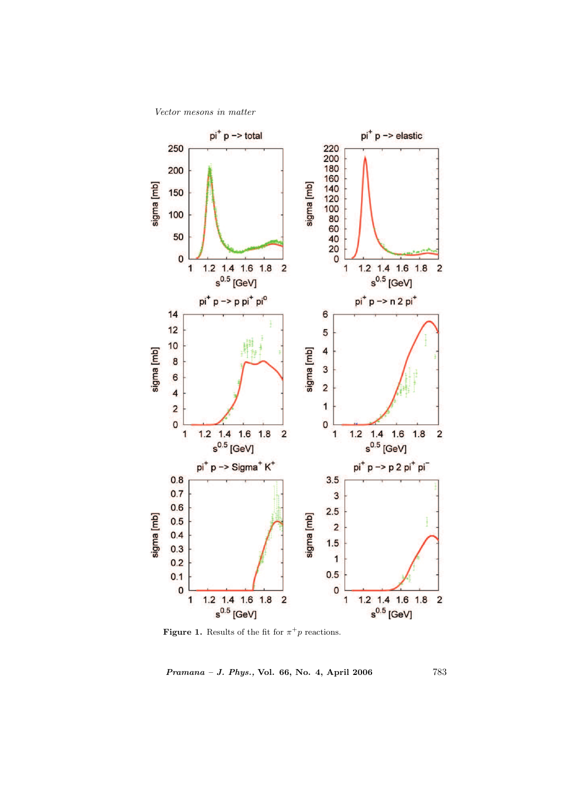Vector mesons in matter



**Figure 1.** Results of the fit for  $\pi^+p$  reactions.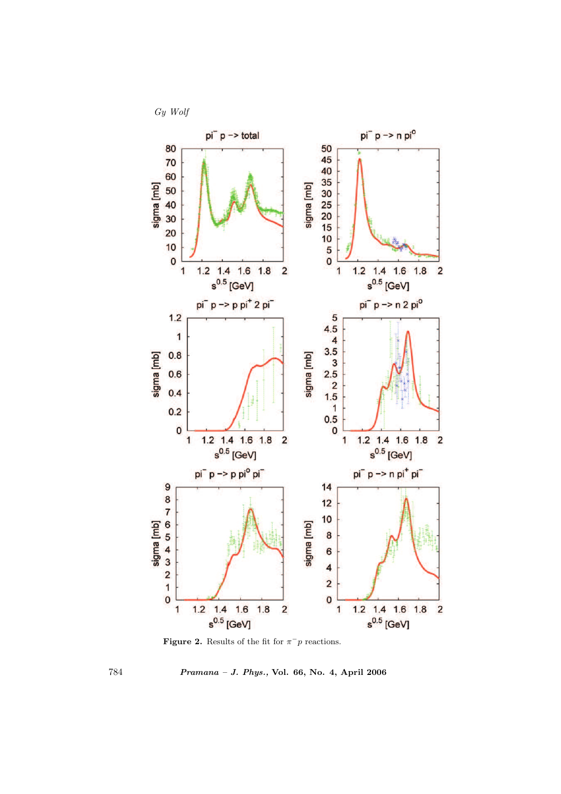

Figure 2. Results of the fit for  $\pi^- p$  reactions.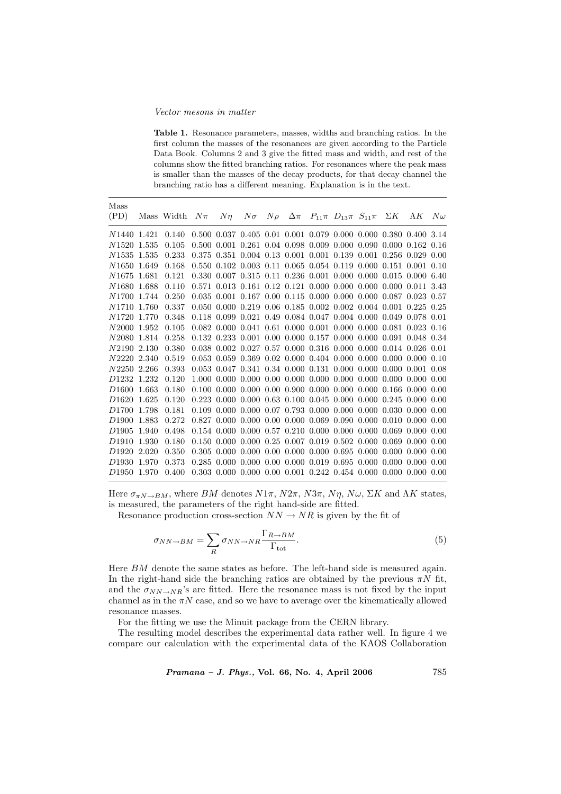#### Vector mesons in matter

Table 1. Resonance parameters, masses, widths and branching ratios. In the first column the masses of the resonances are given according to the Particle Data Book. Columns 2 and 3 give the fitted mass and width, and rest of the columns show the fitted branching ratios. For resonances where the peak mass is smaller than the masses of the decay products, for that decay channel the branching ratio has a different meaning. Explanation is in the text.

| Mass                    |       |            |        |         |                                |  |                                                                                                                                                                                                                               |                                                |             |           |
|-------------------------|-------|------------|--------|---------|--------------------------------|--|-------------------------------------------------------------------------------------------------------------------------------------------------------------------------------------------------------------------------------|------------------------------------------------|-------------|-----------|
| (PD)                    |       | Mass Width | $N\pi$ | $N\eta$ | $N\sigma$ $N\rho$ $\Delta \pi$ |  |                                                                                                                                                                                                                               | $P_{11}\pi$ $D_{13}\pi$ $S_{11}\pi$ $\Sigma K$ | $\Lambda K$ | $N\omega$ |
| N1440 1.421             |       | 0.140      |        |         |                                |  | $0.500$ $0.037$ $0.405$ $0.01$ $0.001$ $0.079$ $0.000$ $0.000$ $0.380$ $0.400$ $3.14$                                                                                                                                         |                                                |             |           |
| N1520                   | 1.535 | 0.105      |        |         |                                |  | $0.500$ $0.001$ $0.261$ $0.04$ $0.098$ $0.009$ $0.000$ $0.090$ $0.000$ $0.162$ $0.16$                                                                                                                                         |                                                |             |           |
| N1535 1.535             |       | 0.233      |        |         |                                |  | 0.375 0.351 0.004 0.13 0.001 0.001 0.139 0.001 0.256 0.029 0.00                                                                                                                                                               |                                                |             |           |
| N1650 1.649             |       | 0.168      |        |         |                                |  | $0.550$ $0.102$ $0.003$ $0.11$ $0.065$ $0.054$ $0.119$ $0.000$ $0.151$ $0.001$ $0.10$                                                                                                                                         |                                                |             |           |
| N <sub>1675</sub>       | 1.681 | 0.121      |        |         |                                |  | $0.330$ $0.007$ $0.315$ $0.11$ $0.236$ $0.001$ $0.000$ $0.000$ $0.015$ $0.000$ $6.40$                                                                                                                                         |                                                |             |           |
| N1680 1.688             |       | 0.110      |        |         |                                |  | $0.571$ $0.013$ $0.161$ $0.12$ $0.121$ $0.000$ $0.000$ $0.000$ $0.000$ $0.011$ $3.43$                                                                                                                                         |                                                |             |           |
| N1700 1.744             |       | 0.250      |        |         |                                |  | $0.035$ $0.001$ $0.167$ $0.00$ $0.115$ $0.000$ $0.000$ $0.000$ $0.087$ $0.023$ $0.57$                                                                                                                                         |                                                |             |           |
| N1710 1.760             |       | 0.337      |        |         |                                |  | $0.050$ $0.000$ $0.219$ $0.06$ $0.185$ $0.002$ $0.002$ $0.004$ $0.001$ $0.225$ $0.25$                                                                                                                                         |                                                |             |           |
| N1720 1.770             |       | 0.348      |        |         |                                |  | $0.118$ $0.099$ $0.021$ $0.49$ $0.084$ $0.047$ $0.004$ $0.000$ $0.049$ $0.078$ $0.01$                                                                                                                                         |                                                |             |           |
| N2000 1.952             |       | 0.105      |        |         |                                |  | $0.082$ $0.000$ $0.041$ $0.61$ $0.000$ $0.001$ $0.000$ $0.000$ $0.081$ $0.023$ $0.16$                                                                                                                                         |                                                |             |           |
| N2080 1.814             |       | 0.258      |        |         |                                |  | $0.132$ $0.233$ $0.001$ $0.00$ $0.000$ $0.157$ $0.000$ $0.000$ $0.091$ $0.048$ $0.34$                                                                                                                                         |                                                |             |           |
| N2190 2.130             |       | 0.380      |        |         |                                |  | $0.038$ $0.002$ $0.027$ $0.57$ $0.000$ $0.316$ $0.000$ $0.000$ $0.014$ $0.026$ $0.01$                                                                                                                                         |                                                |             |           |
| N2220 2.340             |       | 0.519      |        |         |                                |  | $0.053$ $0.059$ $0.369$ $0.02$ $0.000$ $0.404$ $0.000$ $0.000$ $0.000$ $0.000$ $0.10$                                                                                                                                         |                                                |             |           |
| N2250 2.266             |       | 0.393      |        |         |                                |  | $0.053$ $0.047$ $0.341$ $0.34$ $0.000$ $0.131$ $0.000$ $0.000$ $0.000$ $0.001$ $0.08$                                                                                                                                         |                                                |             |           |
| D <sub>1232</sub>       | 1.232 | 0.120      |        |         |                                |  | $1.000\,$ 0.000 0.000 0.000 0.000 0.000 0.000 0.000 0.000 0.000 0.000 0.000 0.000 0.000 0.000 0.000 0.000 0.000 0.000 0.000 0.000 0.000 0.000 0.000 0.000 0.000 0.000 0.000 0.000 0.000 0.000 0.000 0.000 0.000 0.000 0.000 0 |                                                |             |           |
| D <sub>1600</sub>       | 1.663 | 0.180      |        |         |                                |  | $0.100\,0.000\,0.000\,0.00\,0.900\,0.900\,0.000\,0.000\,0.166\,0.000\,0.00$                                                                                                                                                   |                                                |             |           |
| D <sub>1620</sub>       | 1.625 | 0.120      |        |         |                                |  | $0.223$ $0.000$ $0.000$ $0.63$ $0.100$ $0.045$ $0.000$ $0.000$ $0.245$ $0.000$ $0.00$                                                                                                                                         |                                                |             |           |
| D <sub>1700</sub>       | 1.798 | 0.181      |        |         |                                |  | $0.109$ $0.000$ $0.000$ $0.07$ $0.793$ $0.000$ $0.000$ $0.000$ $0.030$ $0.000$ $0.00$                                                                                                                                         |                                                |             |           |
| D <sub>1900</sub>       | 1.883 | 0.272      |        |         |                                |  | $0.827$ $0.000$ $0.000$ $0.00$ $0.000$ $0.069$ $0.090$ $0.000$ $0.010$ $0.000$ $0.00$                                                                                                                                         |                                                |             |           |
| D <sub>1905</sub>       | 1.940 | 0.498      |        |         |                                |  | $0.154$ $0.000$ $0.000$ $0.57$ $0.210$ $0.000$ $0.000$ $0.000$ $0.069$ $0.000$ $0.00$                                                                                                                                         |                                                |             |           |
| D <sub>1910</sub>       | 1.930 | 0.180      |        |         |                                |  | $0.150$ $0.000$ $0.000$ $0.25$ $0.007$ $0.019$ $0.502$ $0.000$ $0.069$ $0.000$ $0.00$                                                                                                                                         |                                                |             |           |
| D <sub>1920</sub>       | 2.020 | 0.350      |        |         |                                |  | $0.305$ $0.000$ $0.000$ $0.00$ $0.000$ $0.000$ $0.695$ $0.000$ $0.000$ $0.000$ $0.000$                                                                                                                                        |                                                |             |           |
| D1930                   | 1.970 | 0.373      |        |         |                                |  | $0.285$ $0.000$ $0.000$ $0.00$ $0.000$ $0.019$ $0.695$ $0.000$ $0.000$ $0.000$ $0.00$                                                                                                                                         |                                                |             |           |
| D <sub>1950</sub> 1.970 |       | 0.400      |        |         |                                |  | $0.303$ $0.000$ $0.000$ $0.00$ $0.001$ $0.242$ $0.454$ $0.000$ $0.000$ $0.000$ $0.00$                                                                                                                                         |                                                |             |           |
|                         |       |            |        |         |                                |  |                                                                                                                                                                                                                               |                                                |             |           |

Here  $\sigma_{\pi N \to BM}$ , where BM denotes  $N1\pi$ ,  $N2\pi$ ,  $N3\pi$ ,  $N\eta$ ,  $N\omega$ ,  $\Sigma K$  and  $\Lambda K$  states, is measured, the parameters of the right hand-side are fitted.

Resonance production cross-section  $NN \rightarrow NR$  is given by the fit of

$$
\sigma_{NN \to BM} = \sum_{R} \sigma_{NN \to NR} \frac{\Gamma_{R \to BM}}{\Gamma_{\text{tot}}}.
$$
\n(5)

Here BM denote the same states as before. The left-hand side is measured again. In the right-hand side the branching ratios are obtained by the previous  $\pi N$  fit, and the  $\sigma_{NN\to NR}$ 's are fitted. Here the resonance mass is not fixed by the input channel as in the  $\pi N$  case, and so we have to average over the kinematically allowed resonance masses.

For the fitting we use the Minuit package from the CERN library.

The resulting model describes the experimental data rather well. In figure 4 we compare our calculation with the experimental data of the KAOS Collaboration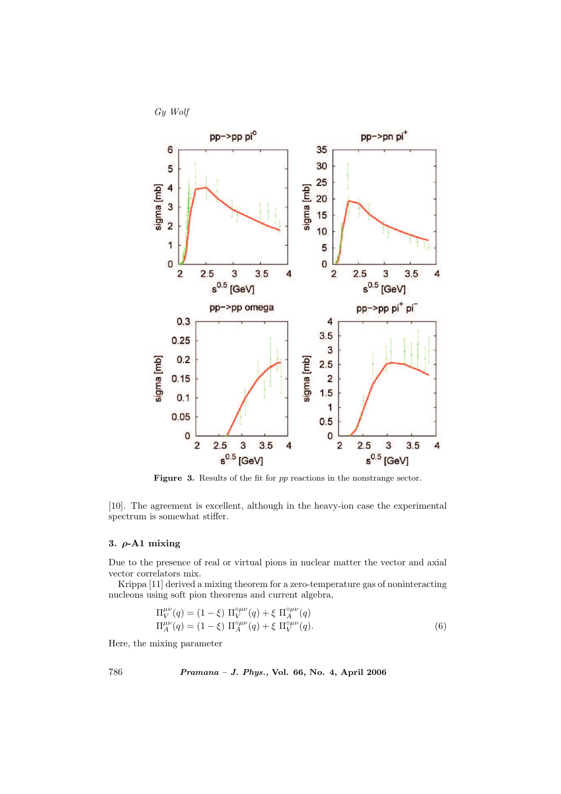



Figure 3. Results of the fit for pp reactions in the nonstrange sector.

[10]. The agreement is excellent, although in the heavy-ion case the experimental spectrum is somewhat stiffer.

## 3.  $\rho$ -A1 mixing

Due to the presence of real or virtual pions in nuclear matter the vector and axial vector correlators mix.

Krippa [11] derived a mixing theorem for a zero-temperature gas of noninteracting nucleons using soft pion theorems and current algebra,

$$
\Pi_V^{\mu\nu}(q) = (1 - \xi) \Pi_V^{\circ \mu\nu}(q) + \xi \Pi_A^{\circ \mu\nu}(q) \Pi_A^{\mu\nu}(q) = (1 - \xi) \Pi_A^{\circ \mu\nu}(q) + \xi \Pi_V^{\circ \mu\nu}(q).
$$
\n(6)

Here, the mixing parameter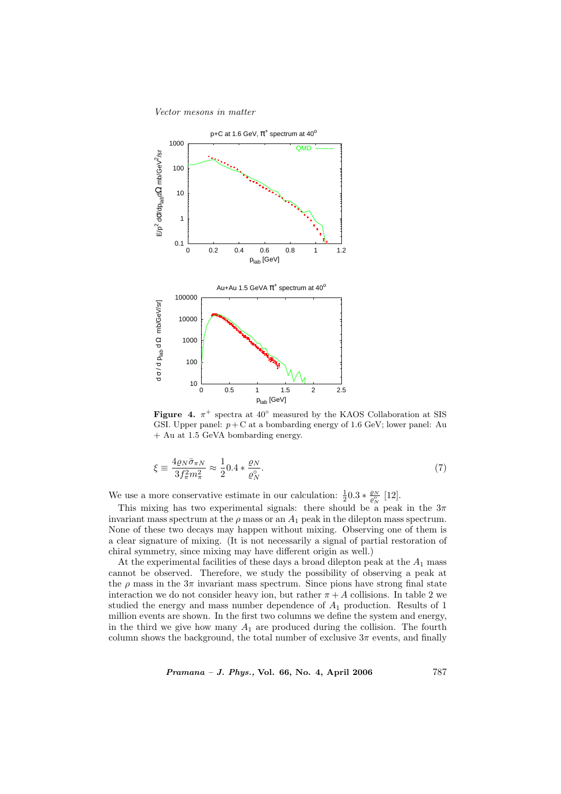Vector mesons in matter



Figure 4.  $\pi^+$  spectra at 40° measured by the KAOS Collaboration at SIS GSI. Upper panel:  $p + C$  at a bombarding energy of 1.6 GeV; lower panel: Au + Au at 1.5 GeVA bombarding energy.

$$
\xi \equiv \frac{4\varrho_N \bar{\sigma}_{\pi N}}{3f_{\pi}^2 m_{\pi}^2} \approx \frac{1}{2} 0.4 * \frac{\varrho_N}{\varrho_N^{\circ}}.
$$
\n<sup>(7)</sup>

We use a more conservative estimate in our calculation:  $\frac{1}{2}0.3 * \frac{\varrho_N}{\varrho_N}$  [12].

This mixing has two experimental signals: there should be a peak in the  $3\pi$ invariant mass spectrum at the  $\rho$  mass or an  $A_1$  peak in the dilepton mass spectrum. None of these two decays may happen without mixing. Observing one of them is a clear signature of mixing. (It is not necessarily a signal of partial restoration of chiral symmetry, since mixing may have different origin as well.)

At the experimental facilities of these days a broad dilepton peak at the  $A_1$  mass cannot be observed. Therefore, we study the possibility of observing a peak at the  $\rho$  mass in the  $3\pi$  invariant mass spectrum. Since pions have strong final state interaction we do not consider heavy ion, but rather  $\pi + A$  collisions. In table 2 we studied the energy and mass number dependence of  $A_1$  production. Results of 1 million events are shown. In the first two columns we define the system and energy, in the third we give how many  $A_1$  are produced during the collision. The fourth column shows the background, the total number of exclusive  $3\pi$  events, and finally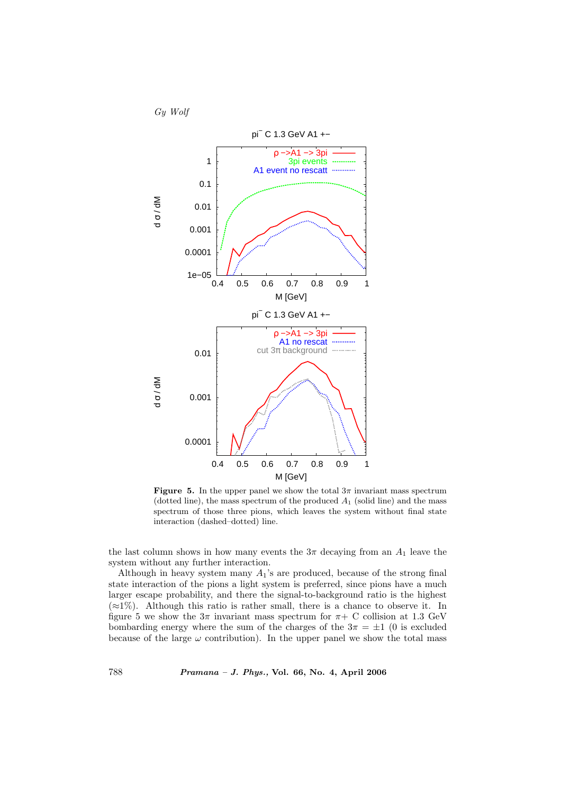Gy Wolf



**Figure 5.** In the upper panel we show the total  $3\pi$  invariant mass spectrum (dotted line), the mass spectrum of the produced  $A_1$  (solid line) and the mass spectrum of those three pions, which leaves the system without final state interaction (dashed–dotted) line.

the last column shows in how many events the  $3\pi$  decaying from an  $A_1$  leave the system without any further interaction.

Although in heavy system many  $A_1$ 's are produced, because of the strong final state interaction of the pions a light system is preferred, since pions have a much larger escape probability, and there the signal-to-background ratio is the highest  $(\approx 1\%)$ . Although this ratio is rather small, there is a chance to observe it. In figure 5 we show the  $3\pi$  invariant mass spectrum for  $\pi$ + C collision at 1.3 GeV bombarding energy where the sum of the charges of the  $3\pi = \pm 1$  (0 is excluded because of the large  $\omega$  contribution). In the upper panel we show the total mass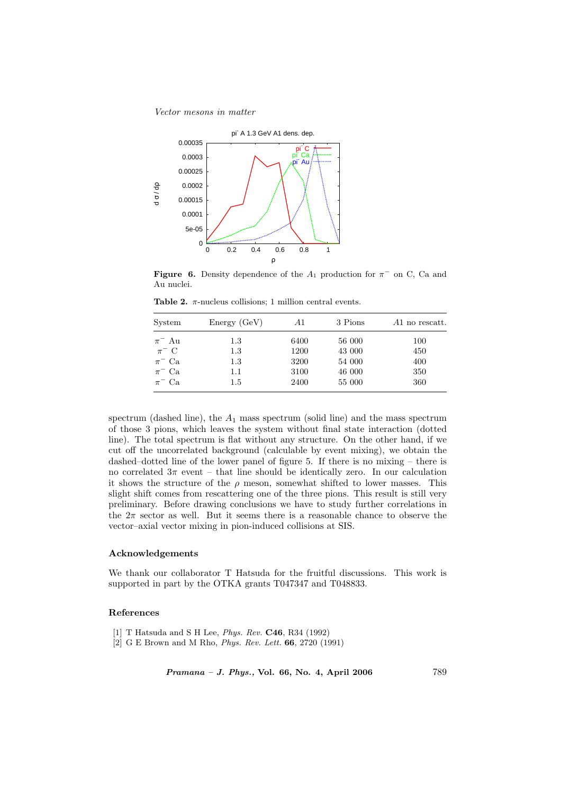Vector mesons in matter



**Figure 6.** Density dependence of the  $A_1$  production for  $\pi^-$  on C, Ca and Au nuclei.

| System      | Energy(GeV) | A1   | 3 Pions | Al no rescatt. |
|-------------|-------------|------|---------|----------------|
| $\pi^-$ Au  | 1.3         | 6400 | 56 000  | 100            |
| $\pi^-$ C   | $1.3\,$     | 1200 | 43 000  | 450            |
| $\pi^-$ Ca  | $1.3\,$     | 3200 | 54 000  | 400            |
| $\pi^-$ Ca. | 1.1         | 3100 | 46 000  | 350            |
| $\pi^-$ Ca. | $1.5\,$     | 2400 | 55 000  | 360            |

Table 2.  $\pi$ -nucleus collisions; 1 million central events.

spectrum (dashed line), the  $A_1$  mass spectrum (solid line) and the mass spectrum of those 3 pions, which leaves the system without final state interaction (dotted line). The total spectrum is flat without any structure. On the other hand, if we cut off the uncorrelated background (calculable by event mixing), we obtain the dashed–dotted line of the lower panel of figure 5. If there is no mixing – there is no correlated  $3\pi$  event – that line should be identically zero. In our calculation it shows the structure of the  $\rho$  meson, somewhat shifted to lower masses. This slight shift comes from rescattering one of the three pions. This result is still very preliminary. Before drawing conclusions we have to study further correlations in the  $2\pi$  sector as well. But it seems there is a reasonable chance to observe the vector–axial vector mixing in pion-induced collisions at SIS.

## Acknowledgements

We thank our collaborator T Hatsuda for the fruitful discussions. This work is supported in part by the OTKA grants T047347 and T048833.

### References

- [1] T Hatsuda and S H Lee, Phys. Rev. C46, R34 (1992)
- [2] G E Brown and M Rho, Phys. Rev. Lett. 66, 2720 (1991)